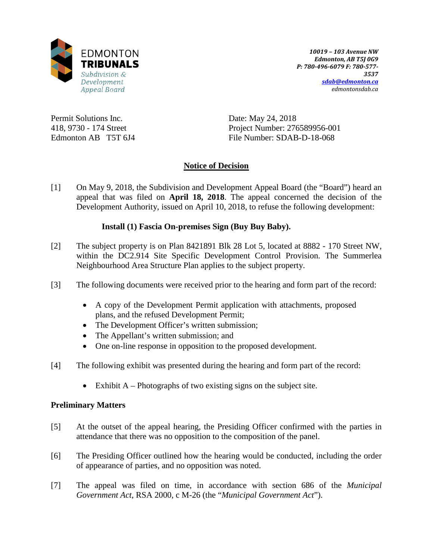

*10019 – 103 Avenue NW Edmonton, AB T5J 0G9 P: 780-496-6079 F: 780-577- 3537 [sdab@edmonton.ca](mailto:sdab@edmonton.ca) edmontonsdab.ca*

Permit Solutions Inc. 418, 9730 - 174 Street Edmonton AB T5T 6J4 Date: May 24, 2018 Project Number: 276589956-001 File Number: SDAB-D-18-068

### **Notice of Decision**

[1] On May 9, 2018, the Subdivision and Development Appeal Board (the "Board") heard an appeal that was filed on **April 18, 2018**. The appeal concerned the decision of the Development Authority, issued on April 10, 2018, to refuse the following development:

### **Install (1) Fascia On-premises Sign (Buy Buy Baby).**

- [2] The subject property is on Plan 8421891 Blk 28 Lot 5, located at 8882 170 Street NW, within the DC2.914 Site Specific Development Control Provision. The Summerlea Neighbourhood Area Structure Plan applies to the subject property.
- [3] The following documents were received prior to the hearing and form part of the record:
	- A copy of the Development Permit application with attachments, proposed plans, and the refused Development Permit;
	- The Development Officer's written submission;
	- The Appellant's written submission; and
	- One on-line response in opposition to the proposed development.
- [4] The following exhibit was presented during the hearing and form part of the record:
	- Exhibit  $A$  Photographs of two existing signs on the subject site.

### **Preliminary Matters**

- [5] At the outset of the appeal hearing, the Presiding Officer confirmed with the parties in attendance that there was no opposition to the composition of the panel.
- [6] The Presiding Officer outlined how the hearing would be conducted, including the order of appearance of parties, and no opposition was noted.
- [7] The appeal was filed on time, in accordance with section 686 of the *Municipal Government Act*, RSA 2000, c M-26 (the "*Municipal Government Act*").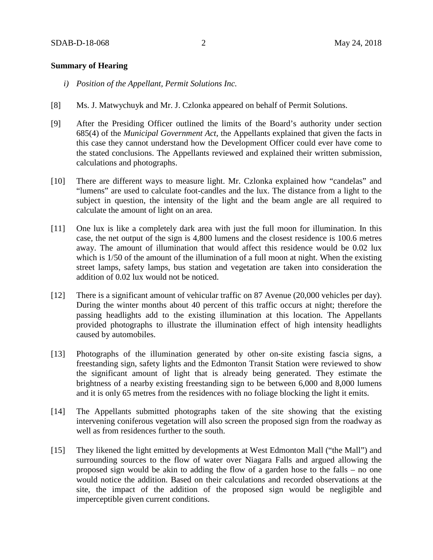#### **Summary of Hearing**

- *i) Position of the Appellant, Permit Solutions Inc.*
- [8] Ms. J. Matwychuyk and Mr. J. Czlonka appeared on behalf of Permit Solutions.
- [9] After the Presiding Officer outlined the limits of the Board's authority under section 685(4) of the *Municipal Government Act*, the Appellants explained that given the facts in this case they cannot understand how the Development Officer could ever have come to the stated conclusions. The Appellants reviewed and explained their written submission, calculations and photographs.
- [10] There are different ways to measure light. Mr. Czlonka explained how "candelas" and "lumens" are used to calculate foot-candles and the lux. The distance from a light to the subject in question, the intensity of the light and the beam angle are all required to calculate the amount of light on an area.
- [11] One lux is like a completely dark area with just the full moon for illumination. In this case, the net output of the sign is 4,800 lumens and the closest residence is 100.6 metres away. The amount of illumination that would affect this residence would be 0.02 lux which is  $1/50$  of the amount of the illumination of a full moon at night. When the existing street lamps, safety lamps, bus station and vegetation are taken into consideration the addition of 0.02 lux would not be noticed.
- [12] There is a significant amount of vehicular traffic on 87 Avenue (20,000 vehicles per day). During the winter months about 40 percent of this traffic occurs at night; therefore the passing headlights add to the existing illumination at this location. The Appellants provided photographs to illustrate the illumination effect of high intensity headlights caused by automobiles.
- [13] Photographs of the illumination generated by other on-site existing fascia signs, a freestanding sign, safety lights and the Edmonton Transit Station were reviewed to show the significant amount of light that is already being generated. They estimate the brightness of a nearby existing freestanding sign to be between 6,000 and 8,000 lumens and it is only 65 metres from the residences with no foliage blocking the light it emits.
- [14] The Appellants submitted photographs taken of the site showing that the existing intervening coniferous vegetation will also screen the proposed sign from the roadway as well as from residences further to the south.
- [15] They likened the light emitted by developments at West Edmonton Mall ("the Mall") and surrounding sources to the flow of water over Niagara Falls and argued allowing the proposed sign would be akin to adding the flow of a garden hose to the falls – no one would notice the addition. Based on their calculations and recorded observations at the site, the impact of the addition of the proposed sign would be negligible and imperceptible given current conditions.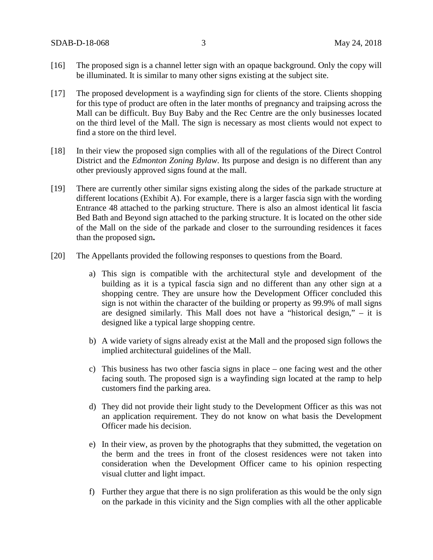- [16] The proposed sign is a channel letter sign with an opaque background. Only the copy will be illuminated. It is similar to many other signs existing at the subject site.
- [17] The proposed development is a wayfinding sign for clients of the store. Clients shopping for this type of product are often in the later months of pregnancy and traipsing across the Mall can be difficult. Buy Buy Baby and the Rec Centre are the only businesses located on the third level of the Mall. The sign is necessary as most clients would not expect to find a store on the third level.
- [18] In their view the proposed sign complies with all of the regulations of the Direct Control District and the *Edmonton Zoning Bylaw*. Its purpose and design is no different than any other previously approved signs found at the mall.
- [19] There are currently other similar signs existing along the sides of the parkade structure at different locations (Exhibit A). For example, there is a larger fascia sign with the wording Entrance 48 attached to the parking structure. There is also an almost identical lit fascia Bed Bath and Beyond sign attached to the parking structure. It is located on the other side of the Mall on the side of the parkade and closer to the surrounding residences it faces than the proposed sign**.**
- [20] The Appellants provided the following responses to questions from the Board.
	- a) This sign is compatible with the architectural style and development of the building as it is a typical fascia sign and no different than any other sign at a shopping centre. They are unsure how the Development Officer concluded this sign is not within the character of the building or property as 99.9% of mall signs are designed similarly. This Mall does not have a "historical design," – it is designed like a typical large shopping centre.
	- b) A wide variety of signs already exist at the Mall and the proposed sign follows the implied architectural guidelines of the Mall.
	- c) This business has two other fascia signs in place one facing west and the other facing south. The proposed sign is a wayfinding sign located at the ramp to help customers find the parking area.
	- d) They did not provide their light study to the Development Officer as this was not an application requirement. They do not know on what basis the Development Officer made his decision.
	- e) In their view, as proven by the photographs that they submitted, the vegetation on the berm and the trees in front of the closest residences were not taken into consideration when the Development Officer came to his opinion respecting visual clutter and light impact.
	- f) Further they argue that there is no sign proliferation as this would be the only sign on the parkade in this vicinity and the Sign complies with all the other applicable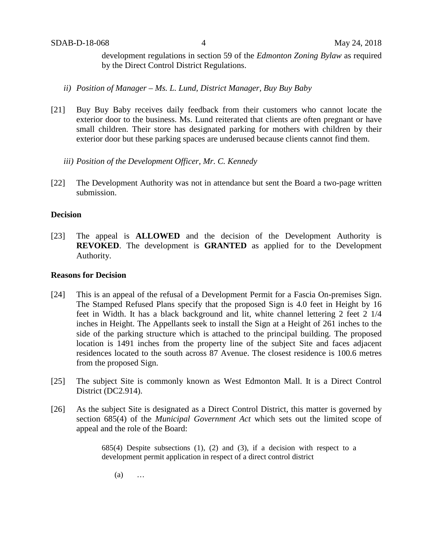development regulations in section 59 of the *Edmonton Zoning Bylaw* as required by the Direct Control District Regulations.

- *ii) Position of Manager – Ms. L. Lund, District Manager, Buy Buy Baby*
- [21] Buy Buy Baby receives daily feedback from their customers who cannot locate the exterior door to the business. Ms. Lund reiterated that clients are often pregnant or have small children. Their store has designated parking for mothers with children by their exterior door but these parking spaces are underused because clients cannot find them.
	- *iii) Position of the Development Officer, Mr. C. Kennedy*
- [22] The Development Authority was not in attendance but sent the Board a two-page written submission.

#### **Decision**

[23] The appeal is **ALLOWED** and the decision of the Development Authority is **REVOKED**. The development is **GRANTED** as applied for to the Development Authority.

#### **Reasons for Decision**

- [24] This is an appeal of the refusal of a Development Permit for a Fascia On-premises Sign. The Stamped Refused Plans specify that the proposed Sign is 4.0 feet in Height by 16 feet in Width. It has a black background and lit, white channel lettering 2 feet 2 1/4 inches in Height. The Appellants seek to install the Sign at a Height of 261 inches to the side of the parking structure which is attached to the principal building. The proposed location is 1491 inches from the property line of the subject Site and faces adjacent residences located to the south across 87 Avenue. The closest residence is 100.6 metres from the proposed Sign.
- [25] The subject Site is commonly known as West Edmonton Mall. It is a Direct Control District (DC2.914).
- [26] As the subject Site is designated as a Direct Control District, this matter is governed by section 685(4) of the *Municipal Government Act* which sets out the limited scope of appeal and the role of the Board:

685(4) Despite subsections (1), (2) and (3), if a decision with respect to a development permit application in respect of a direct control district

(a) …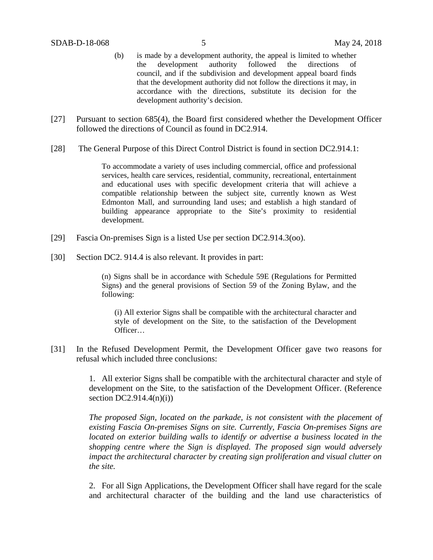- (b) is made by a development authority, the appeal is limited to whether the development authority followed the directions of council, and if the subdivision and development appeal board finds that the development authority did not follow the directions it may, in accordance with the directions, substitute its decision for the development authority's decision.
- [27] Pursuant to section 685(4), the Board first considered whether the Development Officer followed the directions of Council as found in DC2.914.
- [28] The General Purpose of this Direct Control District is found in section DC2.914.1:

To accommodate a variety of uses including commercial, office and professional services, health care services, residential, community, recreational, entertainment and educational uses with specific development criteria that will achieve a compatible relationship between the subject site, currently known as West Edmonton Mall, and surrounding land uses; and establish a high standard of building appearance appropriate to the Site's proximity to residential development.

- [29] Fascia On-premises Sign is a listed Use per section DC2.914.3(oo).
- [30] Section DC2. 914.4 is also relevant. It provides in part:

(n) Signs shall be in accordance with Schedule 59E (Regulations for Permitted Signs) and the general provisions of Section 59 of the Zoning Bylaw, and the following:

(i) All exterior Signs shall be compatible with the architectural character and style of development on the Site, to the satisfaction of the Development Officer…

[31] In the Refused Development Permit, the Development Officer gave two reasons for refusal which included three conclusions:

> 1. All exterior Signs shall be compatible with the architectural character and style of development on the Site, to the satisfaction of the Development Officer. (Reference section  $DC2.914.4(n)(i)$

> *The proposed Sign, located on the parkade, is not consistent with the placement of existing Fascia On-premises Signs on site. Currently, Fascia On-premises Signs are located on exterior building walls to identify or advertise a business located in the shopping centre where the Sign is displayed. The proposed sign would adversely impact the architectural character by creating sign proliferation and visual clutter on the site.*

> 2. For all Sign Applications, the Development Officer shall have regard for the scale and architectural character of the building and the land use characteristics of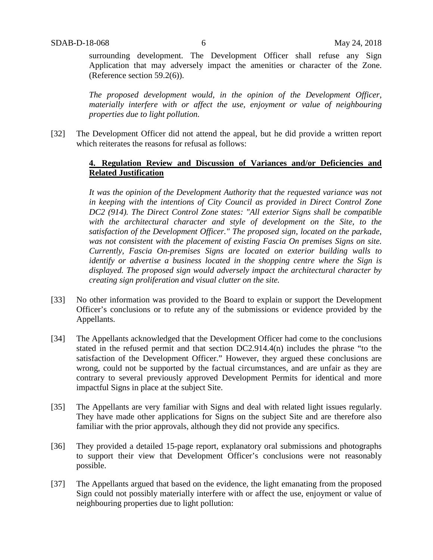surrounding development. The Development Officer shall refuse any Sign Application that may adversely impact the amenities or character of the Zone. (Reference section 59.2(6)).

*The proposed development would, in the opinion of the Development Officer, materially interfere with or affect the use, enjoyment or value of neighbouring properties due to light pollution.* 

[32] The Development Officer did not attend the appeal, but he did provide a written report which reiterates the reasons for refusal as follows:

### **4. Regulation Review and Discussion of Variances and/or Deficiencies and Related Justification**

*It was the opinion of the Development Authority that the requested variance was not in keeping with the intentions of City Council as provided in Direct Control Zone DC2 (914). The Direct Control Zone states: "All exterior Signs shall be compatible with the architectural character and style of development on the Site, to the satisfaction of the Development Officer." The proposed sign, located on the parkade, was not consistent with the placement of existing Fascia On premises Signs on site. Currently, Fascia On-premises Signs are located on exterior building walls to identify or advertise a business located in the shopping centre where the Sign is displayed. The proposed sign would adversely impact the architectural character by creating sign proliferation and visual clutter on the site.*

- [33] No other information was provided to the Board to explain or support the Development Officer's conclusions or to refute any of the submissions or evidence provided by the Appellants.
- [34] The Appellants acknowledged that the Development Officer had come to the conclusions stated in the refused permit and that section DC2.914.4(n) includes the phrase "to the satisfaction of the Development Officer." However, they argued these conclusions are wrong, could not be supported by the factual circumstances, and are unfair as they are contrary to several previously approved Development Permits for identical and more impactful Signs in place at the subject Site.
- [35] The Appellants are very familiar with Signs and deal with related light issues regularly. They have made other applications for Signs on the subject Site and are therefore also familiar with the prior approvals, although they did not provide any specifics.
- [36] They provided a detailed 15-page report, explanatory oral submissions and photographs to support their view that Development Officer's conclusions were not reasonably possible.
- [37] The Appellants argued that based on the evidence, the light emanating from the proposed Sign could not possibly materially interfere with or affect the use, enjoyment or value of neighbouring properties due to light pollution: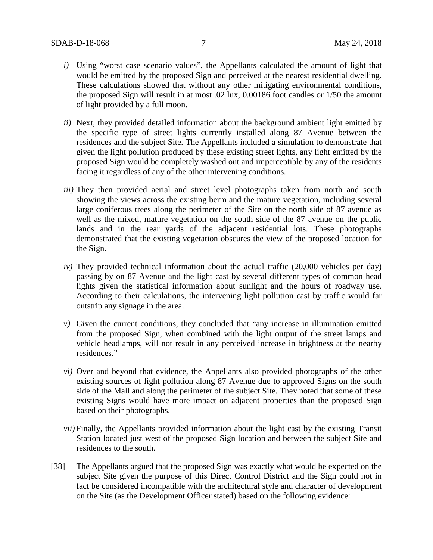- *i)* Using "worst case scenario values", the Appellants calculated the amount of light that would be emitted by the proposed Sign and perceived at the nearest residential dwelling. These calculations showed that without any other mitigating environmental conditions, the proposed Sign will result in at most .02 lux, 0.00186 foot candles or 1/50 the amount of light provided by a full moon.
- *ii)* Next, they provided detailed information about the background ambient light emitted by the specific type of street lights currently installed along 87 Avenue between the residences and the subject Site. The Appellants included a simulation to demonstrate that given the light pollution produced by these existing street lights, any light emitted by the proposed Sign would be completely washed out and imperceptible by any of the residents facing it regardless of any of the other intervening conditions.
- *iii*) They then provided aerial and street level photographs taken from north and south showing the views across the existing berm and the mature vegetation, including several large coniferous trees along the perimeter of the Site on the north side of 87 avenue as well as the mixed, mature vegetation on the south side of the 87 avenue on the public lands and in the rear yards of the adjacent residential lots. These photographs demonstrated that the existing vegetation obscures the view of the proposed location for the Sign.
- *iv)* They provided technical information about the actual traffic (20,000 vehicles per day) passing by on 87 Avenue and the light cast by several different types of common head lights given the statistical information about sunlight and the hours of roadway use. According to their calculations, the intervening light pollution cast by traffic would far outstrip any signage in the area.
- *v)* Given the current conditions, they concluded that "any increase in illumination emitted from the proposed Sign, when combined with the light output of the street lamps and vehicle headlamps, will not result in any perceived increase in brightness at the nearby residences."
- *vi)* Over and beyond that evidence, the Appellants also provided photographs of the other existing sources of light pollution along 87 Avenue due to approved Signs on the south side of the Mall and along the perimeter of the subject Site. They noted that some of these existing Signs would have more impact on adjacent properties than the proposed Sign based on their photographs.
- *vii)* Finally, the Appellants provided information about the light cast by the existing Transit Station located just west of the proposed Sign location and between the subject Site and residences to the south.
- [38] The Appellants argued that the proposed Sign was exactly what would be expected on the subject Site given the purpose of this Direct Control District and the Sign could not in fact be considered incompatible with the architectural style and character of development on the Site (as the Development Officer stated) based on the following evidence: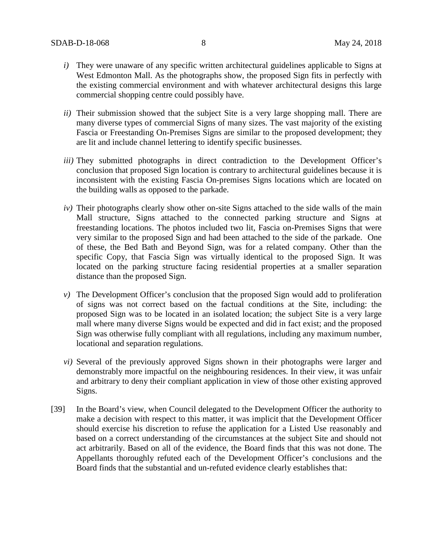- *i)* They were unaware of any specific written architectural guidelines applicable to Signs at West Edmonton Mall. As the photographs show, the proposed Sign fits in perfectly with the existing commercial environment and with whatever architectural designs this large commercial shopping centre could possibly have.
- *ii)* Their submission showed that the subject Site is a very large shopping mall. There are many diverse types of commercial Signs of many sizes. The vast majority of the existing Fascia or Freestanding On-Premises Signs are similar to the proposed development; they are lit and include channel lettering to identify specific businesses.
- *iii*) They submitted photographs in direct contradiction to the Development Officer's conclusion that proposed Sign location is contrary to architectural guidelines because it is inconsistent with the existing Fascia On-premises Signs locations which are located on the building walls as opposed to the parkade.
- *iv)* Their photographs clearly show other on-site Signs attached to the side walls of the main Mall structure, Signs attached to the connected parking structure and Signs at freestanding locations. The photos included two lit, Fascia on-Premises Signs that were very similar to the proposed Sign and had been attached to the side of the parkade. One of these, the Bed Bath and Beyond Sign, was for a related company. Other than the specific Copy, that Fascia Sign was virtually identical to the proposed Sign. It was located on the parking structure facing residential properties at a smaller separation distance than the proposed Sign.
- *v)* The Development Officer's conclusion that the proposed Sign would add to proliferation of signs was not correct based on the factual conditions at the Site, including: the proposed Sign was to be located in an isolated location; the subject Site is a very large mall where many diverse Signs would be expected and did in fact exist; and the proposed Sign was otherwise fully compliant with all regulations, including any maximum number, locational and separation regulations.
- *vi)* Several of the previously approved Signs shown in their photographs were larger and demonstrably more impactful on the neighbouring residences. In their view, it was unfair and arbitrary to deny their compliant application in view of those other existing approved Signs.
- [39] In the Board's view, when Council delegated to the Development Officer the authority to make a decision with respect to this matter, it was implicit that the Development Officer should exercise his discretion to refuse the application for a Listed Use reasonably and based on a correct understanding of the circumstances at the subject Site and should not act arbitrarily. Based on all of the evidence, the Board finds that this was not done. The Appellants thoroughly refuted each of the Development Officer's conclusions and the Board finds that the substantial and un-refuted evidence clearly establishes that: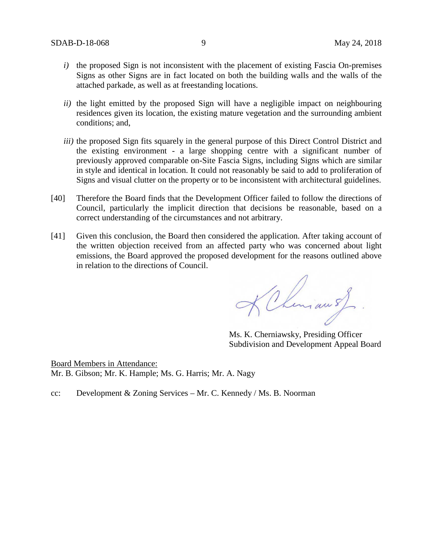- *i*) the proposed Sign is not inconsistent with the placement of existing Fascia On-premises Signs as other Signs are in fact located on both the building walls and the walls of the attached parkade, as well as at freestanding locations.
- *ii)* the light emitted by the proposed Sign will have a negligible impact on neighbouring residences given its location, the existing mature vegetation and the surrounding ambient conditions; and,
- *iii)* the proposed Sign fits squarely in the general purpose of this Direct Control District and the existing environment - a large shopping centre with a significant number of previously approved comparable on-Site Fascia Signs, including Signs which are similar in style and identical in location. It could not reasonably be said to add to proliferation of Signs and visual clutter on the property or to be inconsistent with architectural guidelines.
- [40] Therefore the Board finds that the Development Officer failed to follow the directions of Council, particularly the implicit direction that decisions be reasonable, based on a correct understanding of the circumstances and not arbitrary.
- [41] Given this conclusion, the Board then considered the application. After taking account of the written objection received from an affected party who was concerned about light emissions, the Board approved the proposed development for the reasons outlined above in relation to the directions of Council.

KChman of

Ms. K. Cherniawsky, Presiding Officer Subdivision and Development Appeal Board

Board Members in Attendance: Mr. B. Gibson; Mr. K. Hample; Ms. G. Harris; Mr. A. Nagy

cc: Development & Zoning Services – Mr. C. Kennedy / Ms. B. Noorman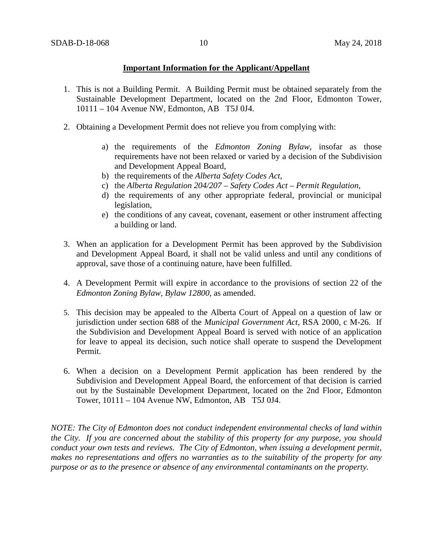### **Important Information for the Applicant/Appellant**

- 1. This is not a Building Permit. A Building Permit must be obtained separately from the Sustainable Development Department, located on the 2nd Floor, Edmonton Tower, 10111 – 104 Avenue NW, Edmonton, AB T5J 0J4.
- 2. Obtaining a Development Permit does not relieve you from complying with:
	- a) the requirements of the *Edmonton Zoning Bylaw*, insofar as those requirements have not been relaxed or varied by a decision of the Subdivision and Development Appeal Board,
	- b) the requirements of the *Alberta Safety Codes Act*,
	- c) the *Alberta Regulation 204/207 – Safety Codes Act – Permit Regulation*,
	- d) the requirements of any other appropriate federal, provincial or municipal legislation,
	- e) the conditions of any caveat, covenant, easement or other instrument affecting a building or land.
- 3. When an application for a Development Permit has been approved by the Subdivision and Development Appeal Board, it shall not be valid unless and until any conditions of approval, save those of a continuing nature, have been fulfilled.
- 4. A Development Permit will expire in accordance to the provisions of section 22 of the *Edmonton Zoning Bylaw, Bylaw 12800*, as amended.
- 5. This decision may be appealed to the Alberta Court of Appeal on a question of law or jurisdiction under section 688 of the *Municipal Government Act*, RSA 2000, c M-26. If the Subdivision and Development Appeal Board is served with notice of an application for leave to appeal its decision, such notice shall operate to suspend the Development Permit.
- 6. When a decision on a Development Permit application has been rendered by the Subdivision and Development Appeal Board, the enforcement of that decision is carried out by the Sustainable Development Department, located on the 2nd Floor, Edmonton Tower, 10111 – 104 Avenue NW, Edmonton, AB T5J 0J4.

*NOTE: The City of Edmonton does not conduct independent environmental checks of land within the City. If you are concerned about the stability of this property for any purpose, you should conduct your own tests and reviews. The City of Edmonton, when issuing a development permit, makes no representations and offers no warranties as to the suitability of the property for any purpose or as to the presence or absence of any environmental contaminants on the property.*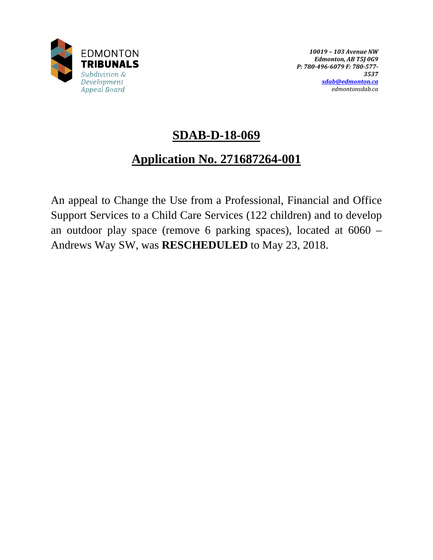

# **SDAB-D-18-069**

# **Application No. 271687264-001**

An appeal to Change the Use from a Professional, Financial and Office Support Services to a Child Care Services (122 children) and to develop an outdoor play space (remove 6 parking spaces), located at 6060 – Andrews Way SW, was **RESCHEDULED** to May 23, 2018.